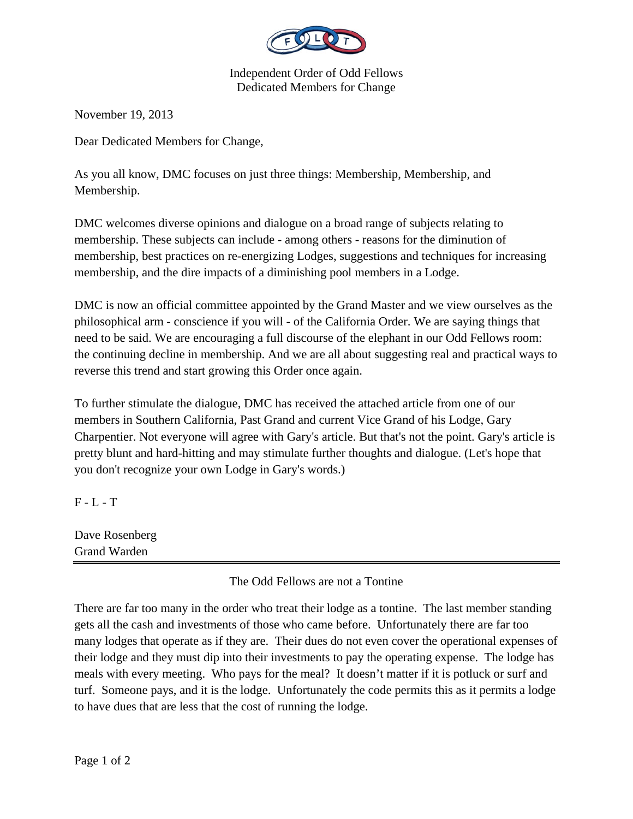

Independent Order of Odd Fellows Dedicated Members for Change

November 19, 2013

Dear Dedicated Members for Change,

As you all know, DMC focuses on just three things: Membership, Membership, and Membership.

DMC welcomes diverse opinions and dialogue on a broad range of subjects relating to membership. These subjects can include - among others - reasons for the diminution of membership, best practices on re-energizing Lodges, suggestions and techniques for increasing membership, and the dire impacts of a diminishing pool members in a Lodge.

DMC is now an official committee appointed by the Grand Master and we view ourselves as the philosophical arm - conscience if you will - of the California Order. We are saying things that need to be said. We are encouraging a full discourse of the elephant in our Odd Fellows room: the continuing decline in membership. And we are all about suggesting real and practical ways to reverse this trend and start growing this Order once again.

To further stimulate the dialogue, DMC has received the attached article from one of our members in Southern California, Past Grand and current Vice Grand of his Lodge, Gary Charpentier. Not everyone will agree with Gary's article. But that's not the point. Gary's article is pretty blunt and hard-hitting and may stimulate further thoughts and dialogue. (Let's hope that you don't recognize your own Lodge in Gary's words.)

 $F - L - T$ 

| Dave Rosenberg |  |  |
|----------------|--|--|
| Grand Warden   |  |  |

## The Odd Fellows are not a Tontine

There are far too many in the order who treat their lodge as a tontine. The last member standing gets all the cash and investments of those who came before. Unfortunately there are far too many lodges that operate as if they are. Their dues do not even cover the operational expenses of their lodge and they must dip into their investments to pay the operating expense. The lodge has meals with every meeting. Who pays for the meal? It doesn't matter if it is potluck or surf and turf. Someone pays, and it is the lodge. Unfortunately the code permits this as it permits a lodge to have dues that are less that the cost of running the lodge.